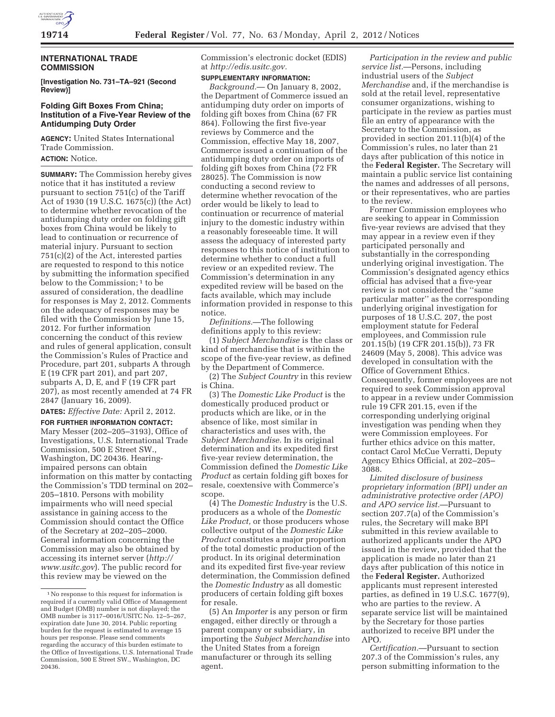

## **INTERNATIONAL TRADE COMMISSION**

**[Investigation No. 731–TA–921 (Second Review)]** 

## **Folding Gift Boxes From China; Institution of a Five-Year Review of the Antidumping Duty Order**

**AGENCY:** United States International Trade Commission.

**ACTION:** Notice.

**SUMMARY:** The Commission hereby gives notice that it has instituted a review pursuant to section 751(c) of the Tariff Act of 1930 (19 U.S.C. 1675(c)) (the Act) to determine whether revocation of the antidumping duty order on folding gift boxes from China would be likely to lead to continuation or recurrence of material injury. Pursuant to section 751(c)(2) of the Act, interested parties are requested to respond to this notice by submitting the information specified below to the Commission;<sup>1</sup> to be assured of consideration, the deadline for responses is May 2, 2012. Comments on the adequacy of responses may be filed with the Commission by June 15, 2012. For further information concerning the conduct of this review and rules of general application, consult the Commission's Rules of Practice and Procedure, part 201, subparts A through E (19 CFR part 201), and part 207, subparts A, D, E, and F (19 CFR part 207), as most recently amended at 74 FR 2847 (January 16, 2009).

**DATES:** *Effective Date:* April 2, 2012.

**FOR FURTHER INFORMATION CONTACT:**  Mary Messer (202–205–3193), Office of Investigations, U.S. International Trade Commission, 500 E Street SW., Washington, DC 20436. Hearingimpaired persons can obtain information on this matter by contacting the Commission's TDD terminal on 202– 205–1810. Persons with mobility impairments who will need special assistance in gaining access to the Commission should contact the Office of the Secretary at 202–205–2000. General information concerning the Commission may also be obtained by accessing its internet server (*http:// www.usitc.gov*). The public record for this review may be viewed on the

Commission's electronic docket (EDIS) at *http://edis.usitc.gov.* 

**SUPPLEMENTARY INFORMATION:** 

*Background.*— On January 8, 2002, the Department of Commerce issued an antidumping duty order on imports of folding gift boxes from China (67 FR 864). Following the first five-year reviews by Commerce and the Commission, effective May 18, 2007, Commerce issued a continuation of the antidumping duty order on imports of folding gift boxes from China (72 FR 28025). The Commission is now conducting a second review to determine whether revocation of the order would be likely to lead to continuation or recurrence of material injury to the domestic industry within a reasonably foreseeable time. It will assess the adequacy of interested party responses to this notice of institution to determine whether to conduct a full review or an expedited review. The Commission's determination in any expedited review will be based on the facts available, which may include information provided in response to this notice.

*Definitions.*—The following definitions apply to this review:

(1) *Subject Merchandise* is the class or kind of merchandise that is within the scope of the five-year review, as defined by the Department of Commerce.

(2) The *Subject Country* in this review is China.

(3) The *Domestic Like Product* is the domestically produced product or products which are like, or in the absence of like, most similar in characteristics and uses with, the *Subject Merchandise.* In its original determination and its expedited first five-year review determination, the Commission defined the *Domestic Like Product* as certain folding gift boxes for resale, coextensive with Commerce's scope.

(4) The *Domestic Industry* is the U.S. producers as a whole of the *Domestic Like Product,* or those producers whose collective output of the *Domestic Like Product* constitutes a major proportion of the total domestic production of the product. In its original determination and its expedited first five-year review determination, the Commission defined the *Domestic Industry* as all domestic producers of certain folding gift boxes for resale.

(5) An *Importer* is any person or firm engaged, either directly or through a parent company or subsidiary, in importing the *Subject Merchandise* into the United States from a foreign manufacturer or through its selling agent.

*Participation in the review and public service list.*—Persons, including industrial users of the *Subject Merchandise* and, if the merchandise is sold at the retail level, representative consumer organizations, wishing to participate in the review as parties must file an entry of appearance with the Secretary to the Commission, as provided in section 201.11(b)(4) of the Commission's rules, no later than 21 days after publication of this notice in the **Federal Register.** The Secretary will maintain a public service list containing the names and addresses of all persons, or their representatives, who are parties to the review.

Former Commission employees who are seeking to appear in Commission five-year reviews are advised that they may appear in a review even if they participated personally and substantially in the corresponding underlying original investigation. The Commission's designated agency ethics official has advised that a five-year review is not considered the ''same particular matter'' as the corresponding underlying original investigation for purposes of 18 U.S.C. 207, the post employment statute for Federal employees, and Commission rule 201.15(b) (19 CFR 201.15(b)), 73 FR 24609 (May 5, 2008). This advice was developed in consultation with the Office of Government Ethics. Consequently, former employees are not required to seek Commission approval to appear in a review under Commission rule 19 CFR 201.15, even if the corresponding underlying original investigation was pending when they were Commission employees. For further ethics advice on this matter, contact Carol McCue Verratti, Deputy Agency Ethics Official, at 202–205– 3088.

*Limited disclosure of business proprietary information (BPI) under an administrative protective order (APO) and APO service list.*—Pursuant to section 207.7(a) of the Commission's rules, the Secretary will make BPI submitted in this review available to authorized applicants under the APO issued in the review, provided that the application is made no later than 21 days after publication of this notice in the **Federal Register.** Authorized applicants must represent interested parties, as defined in 19 U.S.C. 1677(9), who are parties to the review. A separate service list will be maintained by the Secretary for those parties authorized to receive BPI under the APO.

*Certification.*—Pursuant to section 207.3 of the Commission's rules, any person submitting information to the

<sup>1</sup>No response to this request for information is required if a currently valid Office of Management and Budget (OMB) number is not displayed; the OMB number is 3117–0016/USITC No. 12–5–267, expiration date June 30, 2014. Public reporting burden for the request is estimated to average 15 hours per response. Please send comments regarding the accuracy of this burden estimate to the Office of Investigations, U.S. International Trade Commission, 500 E Street SW., Washington, DC 20436.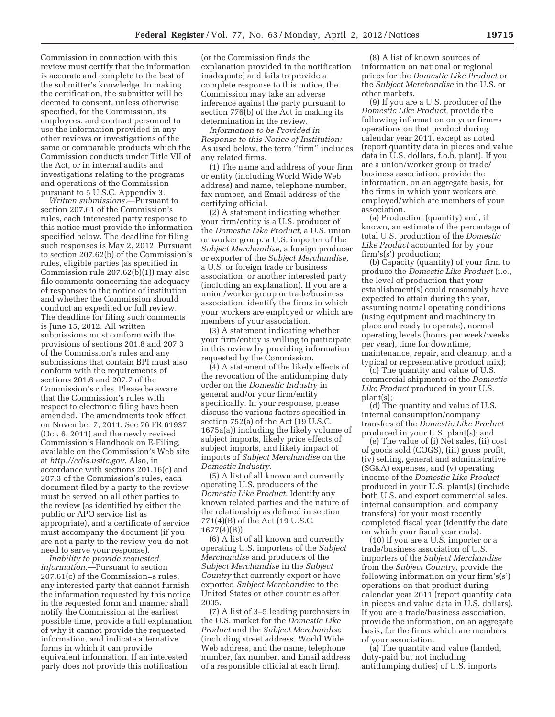Commission in connection with this review must certify that the information is accurate and complete to the best of the submitter's knowledge. In making the certification, the submitter will be deemed to consent, unless otherwise specified, for the Commission, its employees, and contract personnel to use the information provided in any other reviews or investigations of the same or comparable products which the Commission conducts under Title VII of the Act, or in internal audits and investigations relating to the programs and operations of the Commission pursuant to 5 U.S.C. Appendix 3.

*Written submissions.*—Pursuant to section 207.61 of the Commission's rules, each interested party response to this notice must provide the information specified below. The deadline for filing such responses is May 2, 2012. Pursuant to section 207.62(b) of the Commission's rules, eligible parties (as specified in Commission rule 207.62(b)(1)) may also file comments concerning the adequacy of responses to the notice of institution and whether the Commission should conduct an expedited or full review. The deadline for filing such comments is June 15, 2012. All written submissions must conform with the provisions of sections 201.8 and 207.3 of the Commission's rules and any submissions that contain BPI must also conform with the requirements of sections 201.6 and 207.7 of the Commission's rules. Please be aware that the Commission's rules with respect to electronic filing have been amended. The amendments took effect on November 7, 2011. See 76 FR 61937 (Oct. 6, 2011) and the newly revised Commission's Handbook on E-Filing, available on the Commission's Web site at *http://edis.usitc.gov.* Also, in accordance with sections 201.16(c) and 207.3 of the Commission's rules, each document filed by a party to the review must be served on all other parties to the review (as identified by either the public or APO service list as appropriate), and a certificate of service must accompany the document (if you are not a party to the review you do not need to serve your response).

*Inability to provide requested information.*—Pursuant to section 207.61(c) of the Commission=s rules, any interested party that cannot furnish the information requested by this notice in the requested form and manner shall notify the Commission at the earliest possible time, provide a full explanation of why it cannot provide the requested information, and indicate alternative forms in which it can provide equivalent information. If an interested party does not provide this notification

(or the Commission finds the explanation provided in the notification inadequate) and fails to provide a complete response to this notice, the Commission may take an adverse inference against the party pursuant to section 776(b) of the Act in making its determination in the review.

*Information to be Provided in Response to this Notice of Institution:*  As used below, the term ''firm'' includes any related firms.

(1) The name and address of your firm or entity (including World Wide Web address) and name, telephone number, fax number, and Email address of the certifying official.

(2) A statement indicating whether your firm/entity is a U.S. producer of the *Domestic Like Product,* a U.S. union or worker group, a U.S. importer of the *Subject Merchandise,* a foreign producer or exporter of the *Subject Merchandise,*  a U.S. or foreign trade or business association, or another interested party (including an explanation). If you are a union/worker group or trade/business association, identify the firms in which your workers are employed or which are members of your association.

(3) A statement indicating whether your firm/entity is willing to participate in this review by providing information requested by the Commission.

(4) A statement of the likely effects of the revocation of the antidumping duty order on the *Domestic Industry* in general and/or your firm/entity specifically. In your response, please discuss the various factors specified in section 752(a) of the Act (19 U.S.C. 1675a(a)) including the likely volume of subject imports, likely price effects of subject imports, and likely impact of imports of *Subject Merchandise* on the *Domestic Industry.* 

(5) A list of all known and currently operating U.S. producers of the *Domestic Like Product.* Identify any known related parties and the nature of the relationship as defined in section 771(4)(B) of the Act (19 U.S.C. 1677(4)(B)).

(6) A list of all known and currently operating U.S. importers of the *Subject Merchandise* and producers of the *Subject Merchandise* in the *Subject Country* that currently export or have exported *Subject Merchandise* to the United States or other countries after 2005.

(7) A list of 3–5 leading purchasers in the U.S. market for the *Domestic Like Product* and the *Subject Merchandise*  (including street address, World Wide Web address, and the name, telephone number, fax number, and Email address of a responsible official at each firm).

(8) A list of known sources of information on national or regional prices for the *Domestic Like Product* or the *Subject Merchandise* in the U.S. or other markets.

(9) If you are a U.S. producer of the *Domestic Like Product,* provide the following information on your firm=s operations on that product during calendar year 2011, except as noted (report quantity data in pieces and value data in U.S. dollars, f.o.b. plant). If you are a union/worker group or trade/ business association, provide the information, on an aggregate basis, for the firms in which your workers are employed/which are members of your association.

(a) Production (quantity) and, if known, an estimate of the percentage of total U.S. production of the *Domestic Like Product* accounted for by your firm's(s') production;

(b) Capacity (quantity) of your firm to produce the *Domestic Like Product* (i.e., the level of production that your establishment(s) could reasonably have expected to attain during the year, assuming normal operating conditions (using equipment and machinery in place and ready to operate), normal operating levels (hours per week/weeks per year), time for downtime, maintenance, repair, and cleanup, and a typical or representative product mix);

(c) The quantity and value of U.S. commercial shipments of the *Domestic Like Product* produced in your U.S. plant(s);

(d) The quantity and value of U.S. internal consumption/company transfers of the *Domestic Like Product*  produced in your U.S. plant(s); and

(e) The value of (i) Net sales, (ii) cost of goods sold (COGS), (iii) gross profit, (iv) selling, general and administrative (SG&A) expenses, and (v) operating income of the *Domestic Like Product*  produced in your U.S. plant(s) (include both U.S. and export commercial sales, internal consumption, and company transfers) for your most recently completed fiscal year (identify the date on which your fiscal year ends).

(10) If you are a U.S. importer or a trade/business association of U.S. importers of the *Subject Merchandise*  from the *Subject Country,* provide the following information on your firm's(s') operations on that product during calendar year 2011 (report quantity data in pieces and value data in U.S. dollars). If you are a trade/business association, provide the information, on an aggregate basis, for the firms which are members of your association.

(a) The quantity and value (landed, duty-paid but not including antidumping duties) of U.S. imports